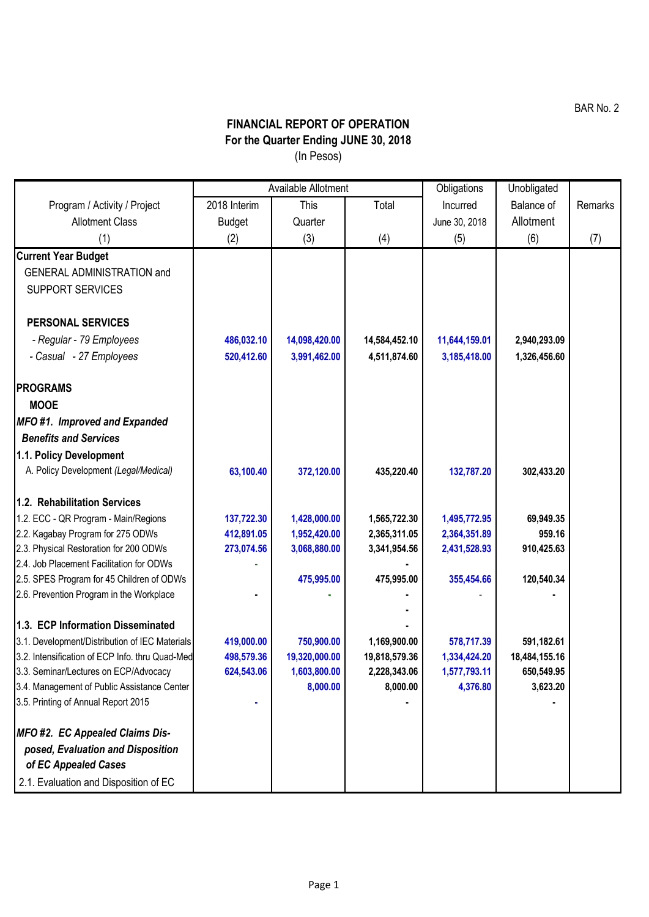**FINANCIAL REPORT OF OPERATION For the Quarter Ending JUNE 30, 2018** (In Pesos)

|                                                           | Available Allotment |               |               | Obligations   | Unobligated   |         |
|-----------------------------------------------------------|---------------------|---------------|---------------|---------------|---------------|---------|
| Program / Activity / Project                              | 2018 Interim        | This          | Total         | Incurred      | Balance of    | Remarks |
| <b>Allotment Class</b>                                    | <b>Budget</b>       | Quarter       |               | June 30, 2018 | Allotment     |         |
| (1)                                                       | (2)                 | (3)           | (4)           | (5)           | (6)           | (7)     |
| <b>Current Year Budget</b>                                |                     |               |               |               |               |         |
| <b>GENERAL ADMINISTRATION and</b>                         |                     |               |               |               |               |         |
| <b>SUPPORT SERVICES</b>                                   |                     |               |               |               |               |         |
| <b>PERSONAL SERVICES</b>                                  |                     |               |               |               |               |         |
| - Regular - 79 Employees                                  | 486,032.10          | 14,098,420.00 | 14,584,452.10 | 11,644,159.01 | 2,940,293.09  |         |
| - Casual - 27 Employees                                   | 520,412.60          | 3,991,462.00  | 4,511,874.60  | 3,185,418.00  | 1,326,456.60  |         |
| <b>PROGRAMS</b>                                           |                     |               |               |               |               |         |
| <b>MOOE</b>                                               |                     |               |               |               |               |         |
| MFO#1. Improved and Expanded                              |                     |               |               |               |               |         |
| <b>Benefits and Services</b>                              |                     |               |               |               |               |         |
| 1.1. Policy Development                                   |                     |               |               |               |               |         |
| A. Policy Development (Legal/Medical)                     | 63,100.40           | 372,120.00    | 435,220.40    | 132,787.20    | 302,433.20    |         |
| 1.2. Rehabilitation Services                              |                     |               |               |               |               |         |
| 1.2. ECC - QR Program - Main/Regions                      | 137,722.30          | 1,428,000.00  | 1,565,722.30  | 1,495,772.95  | 69,949.35     |         |
| 2.2. Kagabay Program for 275 ODWs                         | 412,891.05          | 1,952,420.00  | 2,365,311.05  | 2,364,351.89  | 959.16        |         |
| 2.3. Physical Restoration for 200 ODWs                    | 273,074.56          | 3,068,880.00  | 3,341,954.56  | 2,431,528.93  | 910,425.63    |         |
| 2.4. Job Placement Facilitation for ODWs                  |                     |               |               |               |               |         |
| 2.5. SPES Program for 45 Children of ODWs                 |                     | 475,995.00    | 475,995.00    | 355,454.66    | 120,540.34    |         |
| 2.6. Prevention Program in the Workplace                  |                     |               |               |               |               |         |
| 1.3. ECP Information Disseminated                         |                     |               |               |               |               |         |
| 3.1. Development/Distribution of IEC Materials            | 419,000.00          | 750,900.00    | 1,169,900.00  | 578,717.39    | 591,182.61    |         |
| 3.2. Intensification of ECP Info. thru Quad-Med           | 498,579.36          | 19,320,000.00 | 19,818,579.36 | 1,334,424.20  | 18,484,155.16 |         |
| 3.3. Seminar/Lectures on ECP/Advocacy                     | 624,543.06          | 1,603,800.00  | 2,228,343.06  | 1,577,793.11  | 650,549.95    |         |
| 3.4. Management of Public Assistance Center               |                     | 8,000.00      | 8,000.00      | 4,376.80      | 3,623.20      |         |
| 3.5. Printing of Annual Report 2015                       |                     |               |               |               |               |         |
| MFO #2. EC Appealed Claims Dis-                           |                     |               |               |               |               |         |
| posed, Evaluation and Disposition<br>of EC Appealed Cases |                     |               |               |               |               |         |
| 2.1. Evaluation and Disposition of EC                     |                     |               |               |               |               |         |

BAR No. 2